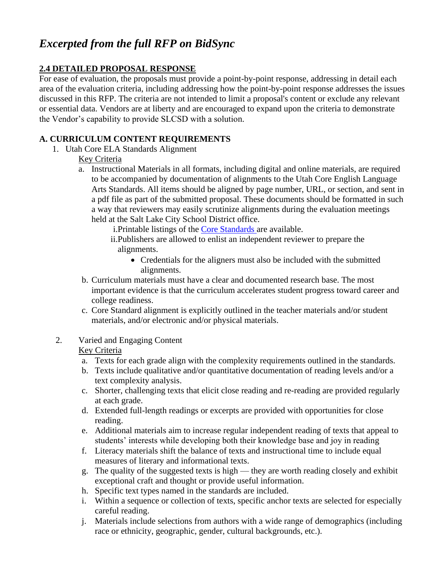# *Excerpted from the full RFP on BidSync*

## **2.4 DETAILED PROPOSAL RESPONSE**

For ease of evaluation, the proposals must provide a point-by-point response, addressing in detail each area of the evaluation criteria, including addressing how the point-by-point response addresses the issues discussed in this RFP. The criteria are not intended to limit a proposal's content or exclude any relevant or essential data. Vendors are at liberty and are encouraged to expand upon the criteria to demonstrate the Vendor's capability to provide SLCSD with a solution.

## **A. CURRICULUM CONTENT REQUIREMENTS**

1. Utah Core ELA Standards Alignment

## Key Criteria

a. Instructional Materials in all formats, including digital and online materials, are required to be accompanied by documentation of alignments to the Utah Core English Language Arts Standards. All items should be aligned by page number, URL, or section, and sent in a pdf file as part of the submitted proposal. These documents should be formatted in such a way that reviewers may easily scrutinize alignments during the evaluation meetings held at the Salt Lake City School District office.

i.Printable listings of the [Core Standards](http://www.uen.org/core/) are available.

- ii.Publishers are allowed to enlist an independent reviewer to prepare the alignments.
	- Credentials for the aligners must also be included with the submitted alignments.
- b. Curriculum materials must have a clear and documented research base. The most important evidence is that the curriculum accelerates student progress toward career and college readiness.
- c. Core Standard alignment is explicitly outlined in the teacher materials and/or student materials, and/or electronic and/or physical materials.
- 2. Varied and Engaging Content

- a. Texts for each grade align with the complexity requirements outlined in the standards.
- b. Texts include qualitative and/or quantitative documentation of reading levels and/or a text complexity analysis.
- c. Shorter, challenging texts that elicit close reading and re-reading are provided regularly at each grade.
- d. Extended full-length readings or excerpts are provided with opportunities for close reading.
- e. Additional materials aim to increase regular independent reading of texts that appeal to students' interests while developing both their knowledge base and joy in reading
- f. Literacy materials shift the balance of texts and instructional time to include equal measures of literary and informational texts.
- g. The quality of the suggested texts is high they are worth reading closely and exhibit exceptional craft and thought or provide useful information.
- h. Specific text types named in the standards are included.
- i. Within a sequence or collection of texts, specific anchor texts are selected for especially careful reading.
- j. Materials include selections from authors with a wide range of demographics (including race or ethnicity, geographic, gender, cultural backgrounds, etc.).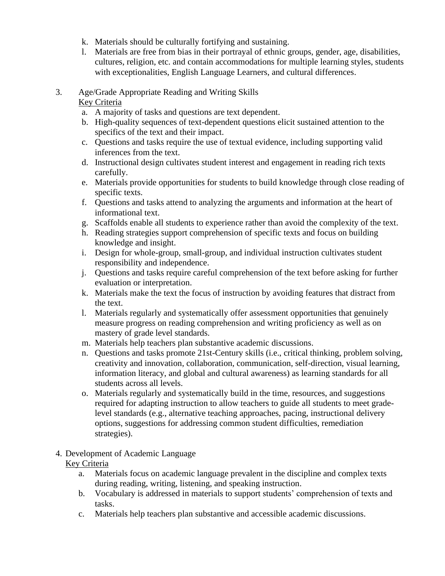- k. Materials should be culturally fortifying and sustaining.
- l. Materials are free from bias in their portrayal of ethnic groups, gender, age, disabilities, cultures, religion, etc. and contain accommodations for multiple learning styles, students with exceptionalities, English Language Learners, and cultural differences.
- 3. Age/Grade Appropriate Reading and Writing Skills

- a. A majority of tasks and questions are text dependent.
- b. High-quality sequences of text-dependent questions elicit sustained attention to the specifics of the text and their impact.
- c. Questions and tasks require the use of textual evidence, including supporting valid inferences from the text.
- d. Instructional design cultivates student interest and engagement in reading rich texts carefully.
- e. Materials provide opportunities for students to build knowledge through close reading of specific texts.
- f. Questions and tasks attend to analyzing the arguments and information at the heart of informational text.
- g. Scaffolds enable all students to experience rather than avoid the complexity of the text.
- h. Reading strategies support comprehension of specific texts and focus on building knowledge and insight.
- i. Design for whole-group, small-group, and individual instruction cultivates student responsibility and independence.
- j. Questions and tasks require careful comprehension of the text before asking for further evaluation or interpretation.
- k. Materials make the text the focus of instruction by avoiding features that distract from the text.
- l. Materials regularly and systematically offer assessment opportunities that genuinely measure progress on reading comprehension and writing proficiency as well as on mastery of grade level standards.
- m. Materials help teachers plan substantive academic discussions.
- n. Questions and tasks promote 21st-Century skills (i.e., critical thinking, problem solving, creativity and innovation, collaboration, communication, self-direction, visual learning, information literacy, and global and cultural awareness) as learning standards for all students across all levels.
- o. Materials regularly and systematically build in the time, resources, and suggestions required for adapting instruction to allow teachers to guide all students to meet gradelevel standards (e.g., alternative teaching approaches, pacing, instructional delivery options, suggestions for addressing common student difficulties, remediation strategies).
- 4. Development of Academic Language Key Criteria
	- a. Materials focus on academic language prevalent in the discipline and complex texts during reading, writing, listening, and speaking instruction.
	- b. Vocabulary is addressed in materials to support students' comprehension of texts and tasks.
	- c. Materials help teachers plan substantive and accessible academic discussions.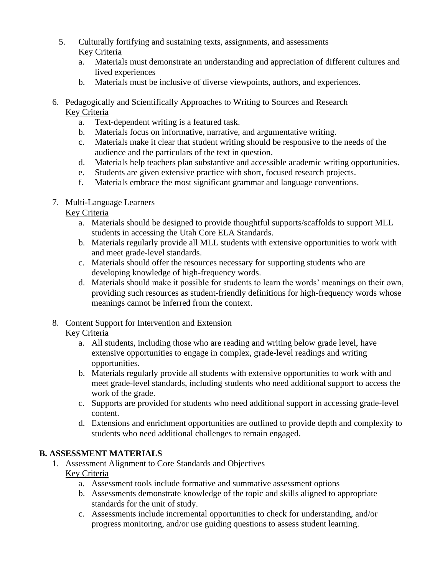- 5. Culturally fortifying and sustaining texts, assignments, and assessments Key Criteria
	- a. Materials must demonstrate an understanding and appreciation of different cultures and lived experiences
	- b. Materials must be inclusive of diverse viewpoints, authors, and experiences.
- 6. Pedagogically and Scientifically Approaches to Writing to Sources and Research Key Criteria
	- a. Text-dependent writing is a featured task.
	- b. Materials focus on informative, narrative, and argumentative writing.
	- c. Materials make it clear that student writing should be responsive to the needs of the audience and the particulars of the text in question.
	- d. Materials help teachers plan substantive and accessible academic writing opportunities.
	- e. Students are given extensive practice with short, focused research projects.
	- f. Materials embrace the most significant grammar and language conventions.
- 7. Multi-Language Learners

- a. Materials should be designed to provide thoughtful supports/scaffolds to support MLL students in accessing the Utah Core ELA Standards.
- b. Materials regularly provide all MLL students with extensive opportunities to work with and meet grade-level standards.
- c. Materials should offer the resources necessary for supporting students who are developing knowledge of high-frequency words.
- d. Materials should make it possible for students to learn the words' meanings on their own, providing such resources as student-friendly definitions for high-frequency words whose meanings cannot be inferred from the context.
- 8. Content Support for Intervention and Extension Key Criteria
	- a. All students, including those who are reading and writing below grade level, have extensive opportunities to engage in complex, grade-level readings and writing opportunities.
	- b. Materials regularly provide all students with extensive opportunities to work with and meet grade-level standards, including students who need additional support to access the work of the grade.
	- c. Supports are provided for students who need additional support in accessing grade-level content.
	- d. Extensions and enrichment opportunities are outlined to provide depth and complexity to students who need additional challenges to remain engaged.

## **B. ASSESSMENT MATERIALS**

- 1. Assessment Alignment to Core Standards and Objectives Key Criteria
	- a. Assessment tools include formative and summative assessment options
	- b. Assessments demonstrate knowledge of the topic and skills aligned to appropriate standards for the unit of study.
	- c. Assessments include incremental opportunities to check for understanding, and/or progress monitoring, and/or use guiding questions to assess student learning.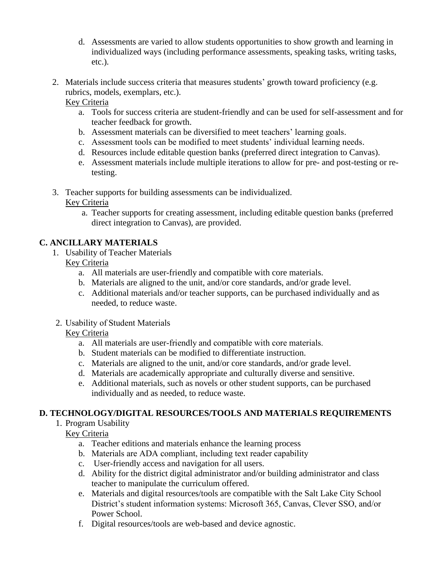- d. Assessments are varied to allow students opportunities to show growth and learning in individualized ways (including performance assessments, speaking tasks, writing tasks, etc.).
- 2. Materials include success criteria that measures students' growth toward proficiency (e.g. rubrics, models, exemplars, etc.).

- a. Tools for success criteria are student-friendly and can be used for self-assessment and for teacher feedback for growth.
- b. Assessment materials can be diversified to meet teachers' learning goals.
- c. Assessment tools can be modified to meet students' individual learning needs.
- d. Resources include editable question banks (preferred direct integration to Canvas).
- e. Assessment materials include multiple iterations to allow for pre- and post-testing or retesting.
- 3. Teacher supports for building assessments can be individualized.

## Key Criteria

a. Teacher supports for creating assessment, including editable question banks (preferred direct integration to Canvas), are provided.

## **C. ANCILLARY MATERIALS**

1. Usability of Teacher Materials

## Key Criteria

- a. All materials are user-friendly and compatible with core materials.
- b. Materials are aligned to the unit, and/or core standards, and/or grade level.
- c. Additional materials and/or teacher supports, can be purchased individually and as needed, to reduce waste.
- 2. Usability of Student Materials

## Key Criteria

- a. All materials are user-friendly and compatible with core materials.
- b. Student materials can be modified to differentiate instruction.
- c. Materials are aligned to the unit, and/or core standards, and/or grade level.
- d. Materials are academically appropriate and culturally diverse and sensitive.
- e. Additional materials, such as novels or other student supports, can be purchased individually and as needed, to reduce waste.

## **D. TECHNOLOGY/DIGITAL RESOURCES/TOOLS AND MATERIALS REQUIREMENTS**

1. Program Usability

- a. Teacher editions and materials enhance the learning process
- b. Materials are ADA compliant, including text reader capability
- c. User-friendly access and navigation for all users.
- d. Ability for the district digital administrator and/or building administrator and class teacher to manipulate the curriculum offered.
- e. Materials and digital resources/tools are compatible with the Salt Lake City School District's student information systems: Microsoft 365, Canvas, Clever SSO, and/or Power School.
- f. Digital resources/tools are web-based and device agnostic.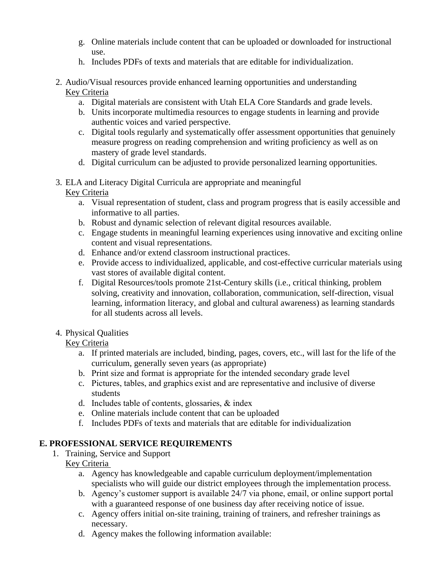- g. Online materials include content that can be uploaded or downloaded for instructional use.
- h. Includes PDFs of texts and materials that are editable for individualization.
- 2. Audio/Visual resources provide enhanced learning opportunities and understanding Key Criteria
	- a. Digital materials are consistent with Utah ELA Core Standards and grade levels.
	- b. Units incorporate multimedia resources to engage students in learning and provide authentic voices and varied perspective.
	- c. Digital tools regularly and systematically offer assessment opportunities that genuinely measure progress on reading comprehension and writing proficiency as well as on mastery of grade level standards.
	- d. Digital curriculum can be adjusted to provide personalized learning opportunities.
- 3. ELA and Literacy Digital Curricula are appropriate and meaningful  Key Criteria
	- a. Visual representation of student, class and program progress that is easily accessible and informative to all parties.
	- b. Robust and dynamic selection of relevant digital resources available.
	- c. Engage students in meaningful learning experiences using innovative and exciting online content and visual representations.
	- d. Enhance and/or extend classroom instructional practices.
	- e. Provide access to individualized, applicable, and cost-effective curricular materials using vast stores of available digital content.
	- f. Digital Resources/tools promote 21st-Century skills (i.e., critical thinking, problem solving, creativity and innovation, collaboration, communication, self-direction, visual learning, information literacy, and global and cultural awareness) as learning standards for all students across all levels.
- 4. Physical Qualities

- a. If printed materials are included, binding, pages, covers, etc., will last for the life of the curriculum, generally seven years (as appropriate)
- b. Print size and format is appropriate for the intended secondary grade level
- c. Pictures, tables, and graphics exist and are representative and inclusive of diverse students
- d. Includes table of contents, glossaries, & index
- e. Online materials include content that can be uploaded
- f. Includes PDFs of texts and materials that are editable for individualization

## **E. PROFESSIONAL SERVICE REQUIREMENTS**

- 1. Training, Service and Support
	- Key Criteria
		- a. Agency has knowledgeable and capable curriculum deployment/implementation specialists who will guide our district employees through the implementation process.
		- b. Agency's customer support is available 24/7 via phone, email, or online support portal with a guaranteed response of one business day after receiving notice of issue.
		- c. Agency offers initial on-site training, training of trainers, and refresher trainings as necessary.
		- d. Agency makes the following information available: